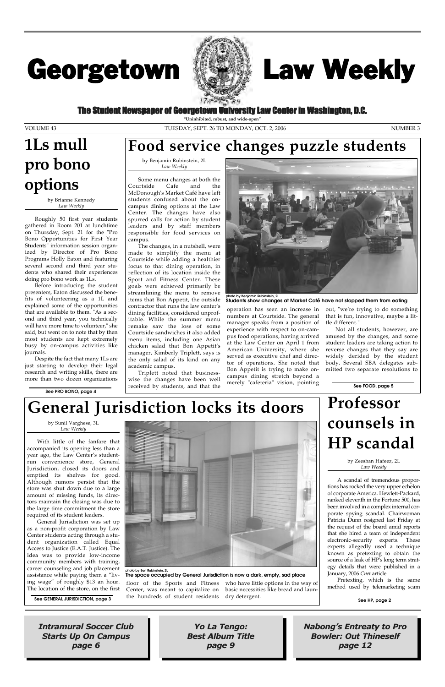With little of the fanfare that accompanied its opening less than a year ago, the Law Center's studentrun convenience store, General Jurisdiction, closed its doors and emptied its shelves for good. Although rumors persist that the store was shut down due to a large amount of missing funds, its directors maintain the closing was due to



General Jurisdiction was set up as a non-profit corporation by Law Center students acting through a student organization called Equal Access to Justice (E.A.T. Justice). The idea was to provide low-income community members with training, career counseling and job placement assistance while paying them a "living wage" of roughly \$13 an hour. Ing wage" of roughly \$13 an hour. floor of the Sports and Fitness<br>The location of the store, on the first Center, was meant to capitalize on

the large time commitment the store required of its student leaders.

> Center, was meant to capitalize on the hundreds of student residents

who have little options in the way of basic necessities like bread and laundry detergent.

The Student Newspaper of Georgetown University Law Center in Washington, D.C.

# Georgetown



Intramural Soccer Club Starts Up On Campus page 6

Nabong's Entreaty to Pro Bowler: Out Thineself page 12

Yo La Tengo: Best Album Title page 9

# Law Weekly

**"Uninhibited, robust, and wide-open"**

VOLUME 43 TUESDAY, SEPT. 26 TO MONDAY, OCT. 2, 2006 NUMBER 3

by Brianne Kennedy *Law Weekly*

Roughly 50 first year students gathered in Room 201 at lunchtime on Thursday, Sept. 21 for the "Pro Bono Opportunities for First Year Students" information session organized by Director of Pro Bono Programs Holly Eaton and featuring several second and third year students who shared their experiences doing pro bono work as 1Ls.

Before introducing the student presenters, Eaton discussed the benefits of volunteering as a 1L and explained some of the opportunities that are available to them. "As a second and third year, you technically will have more time to volunteer," she said, but went on to note that by then most students are kept extremely busy by on-campus activities like journals.

Despite the fact that many 1Ls are just starting to develop their legal research and writing skills, there are more than two dozen organizations

> by Zeeshan Hafeez, 2L *Law Weekly*

### by Sunil Varghese, 3L *Law Weekly* **General Jurisdiction locks its doors**

A scandal of tremendous proportions has rocked the very upper echelon of corporate America. Hewlett-Packard, ranked eleventh in the Fortune 500, has been involved in a complex internal corporate spying scandal. Chairwoman Patricia Dunn resigned last Friday at the request of the board amid reports that she hired a team of independent electronic-security experts. These experts allegedly used a technique known as pretexting to obtain the source of a leak of HP's long term strategy details that were published in a January, 2006 *Cnet* article. Pretexting, which is the same method used by telemarketing scam

by Benjamin Rubinstein, 2L *Law Weekly*

Some menu changes at both the Courtside Cafe and the McDonough's Market Café have left students confused about the oncampus dining options at the Law Center. The changes have also spurred calls for action by student leaders and by staff members responsible for food services on campus.

The changes, in a nutshell, were made to simplify the menu at Courtside while adding a healthier focus to that dining operation, in reflection of its location inside the Sport and Fitness Center. These goals were achieved primarily be streamlining the menu to remove items that Bon Appetit, the outside contractor that runs the law center's dining facilities, considered unprofitable. While the summer menu remake saw the loss of some Courtside sandwiches it also added menu items, including one Asian chicken salad that Bon Appetit's manager, Kimberly Triplett, says is the only salad of its kind on any academic campus.

Triplett noted that businesswise the changes have been well received by students, and that the

operation has seen an increase in numbers at Courtside. The general manager speaks from a position of experience with respect to on-campus food operations, having arrived at the Law Center on April 1 from American University, where she served as executive chef and director of operations. She noted that Bon Appetit is trying to make oncampus dining stretch beyond a merely "cafeteria" vision, pointing out, "we're trying to do something that is fun, innovative, maybe a little different."

Not all students, however, are amused by the changes, and some student leaders are taking action to reverse changes that they say are widely derided by the student body. Several SBA delegates submitted two separate resolutions to

# **1Ls mull pro bono options**

**See FOOD, page 5**



**Students show changes at Market Café have not stopped them from eating**



**photo by Ben Rubinstein, 2L The space occupied by General Jurisdiction is now a dark, empty, sad place**

### **Food service changes puzzle students**

**See PRO BONO, page 4**

**See HP, page 2**

**See GENERAL JURISDICTION, page 3**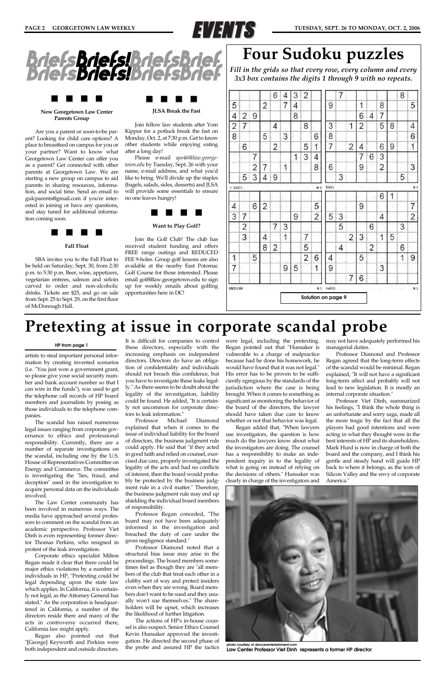

### **New Georgetown Law Center Parents Group**

Are you a parent or soon-to-be parent? Looking for child care options? A place to breastfeed on campus for you or your partner? Want to know what Georgetown Law Center can offer you as a parent? Get connected with other parents at Georgetown Law. We are starting a new group on campus to aid parents in sharing resources, information, and social time. Send an email to gulcparents@gmail.com if you're interested in joining or have any questions, and stay tuned for additional information coming soon.



#### **Fall Float**

SBA invites you to the Fall Float to be held on Saturday, Sept. 30, from 2:30 p.m. to 5:30 p.m. Beer, wine, appetizers, vegetarian entrees, salmon and sirloin carved to order and non-alcoholic drinks. Tickets are \$25, and go on sale from Sept. 25 to Sept. 29, on the first floor of McDonough Hall.



#### **JLSA Break the Fast**

Join fellow law students after Yom Kippur for a potluck break the fast on Monday, Oct. 2, at 7:30 p.m. Get to know other students while enjoying eating after a long day!

Please e-mail *aps46@law.georgetown.edu* by Tuesday, Sept. 26 with your name, e-mail address, and what you'd like to bring. We'll divide up the staples (bagels, salads, sides, desserts) and JLSA will provide some essentials to ensure no one leaves hungry!



### **Want to Play Golf?**

Join the Golf Club! The club has received student funding and offers FREE range outings and REDUCED FEE 9-holes. Group golf lessons are also available at the nearby East Potomac Golf Course for those interested. Please email golf@law.georgetown.edu to sign up for weekly emails about golfing opportunities here in DC!

artists to steal important personal information by creating invented scenarios (i.e. "You just won a government grant, so please give your social security number and bank account number so that I can wire in the funds"), was used to get the telephone call records of HP board members and journalists by posing as those individuals to the telephone companies.

The scandal has raised numerous legal issues ranging from corporate governance to ethics and professional responsibility. Currently, there are a number of separate investigations on the scandal, including one by the U.S. House of Representatives Committee on Energy and Commerce. The committee is investigating the "lies, fraud, and deception" used in the investigation to acquire personal data on the individuals involved.

The Law Center community has

been involved in numerous ways. The media have approached several professors to comment on the scandal from an academic perspective. Professor Viet Dinh is even representing former director Thomas Perkins, who resigned in protest of the leak investigation.

Corporate ethics specialist Milton Regan made it clear that there could be major ethics violations by a number of individuals in HP, "Pretexting could be legal depending upon the state law which applies. In California, it is certainly not legal, as the Attorney General has stated." As the corporation is headquartered in California, a number of the directors reside there and many of the acts in controversy occurred there, California law might apply.

Regan also pointed out that "[George] Keyworth and Perkins were both independent and outside directors.



**hoto courtesy of** *duncanente* **Law Center Professor Viet Dinh represents a former HP director**

It is difficult for companies to control these directors, especially with the increasing emphasis on independent directors. Directors do have an obligation of confidentiality and individuals should not breach this confidence, but you have to investigate these leaks legally." As there seems to be doubt about the legality of the investigation, liability could be found. He added, "It is certainly not uncommon for corporate directors to leak information."

Professor Michael Diamond explained that when it comes to the issue of individual liability for the board of directors, the business judgment rule could apply. He said that "if they acted in good faith and relied on counsel, exercised due care, properly investigated the legality of the acts and had no conflicts of interest, then the board would probably be protected by the business judgment rule in a civil matter." Therefore, the business judgment rule may end up shielding the individual board members

of responsibility.



### **START START START START START START START START START START START START START START START START START START ST**

Professor Regan conceded, "The board may not have been adequately informed in the investigation and breached the duty of care under the gross negligence standard."

Professor Diamond noted that a structural bias issue may arise in the proceedings. The board members sometimes feel as though they are "all members of the club that treat each other in a clubby sort of way and protect insiders even when they are wrong. Board members don't want to be sued and they usually won't sue themselves." The shareholders will be upset, which increases the likelihood of further litigation.

The actions of HP's in-house counsel is also suspect. Senior Ethics Counsel Kevin Hunsaker approved the investigation. He directed the second phase of the probe and assured HP the tactics were legal, including the pretexting. Regan pointed out that "Hunsaker is vulnerable to a charge of malpractice because had he done his homework, he would have found that it was not legal." His error has to be proven to be sufficiently egregious by the standards of the jurisdiction where the case is being brought. When it comes to something as significant as monitoring the behavior of the board of the directors, the lawyer should have taken due care to know whether or not that behavior was legal.

Regan added that, "When lawyers use investigators, the question is how much do the lawyers know about what the investigators are doing. The counsel has a responsibility to make an independent inquiry in to the legality of what is going on instead of relying on the decisions of others." Hunsaker was clearly in charge of the investigators and may not have adequately performed his managerial duties.

Professor Diamond and Professor Regan agreed that the long-term effects of the scandal would be minimal. Regan explained, "It will not have a significant long-term affect and probably will not lead to new legislation. It is mostly an internal corporate situation."

Professor Viet Dinh, summarized his feelings, "I think the whole thing is an unfortunate and sorry saga, made all the more tragic by the fact that all the players had good intentions and were acting in what they thought were in the best interests of HP and its shareholders. Mark Hurd is now in charge of both the board and the company, and I think his gentle and steady hand will guide HP back to where it belongs, as the icon of Silicon Valley and the envy of corporate America."

### **Pretexting at issue in corporate scandal probe**

#### **HP from page 1**



### **Four Sudoku puzzles**

*Fill in the grids so that every row, every column and every 3x3 box contains the digits 1 through 9 with no repeats.*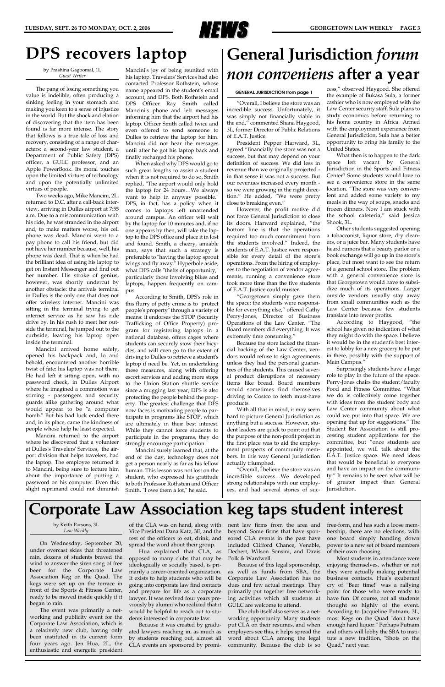

### **DPS recovers laptop**

by Prashina Gagoomal, 1L *Guest Writer*

The pang of losing something you value is indelible, often producing a sinking feeling in your stomach and making you keen to a sense of injustice in the world. But the shock and elation of discovering that the item has been found is far more intense. The story that follows is a true tale of loss and recovery, consisting of a range of characters: a second-year law student, a Department of Public Safety (DPS) officer, a GULC professor, and an Apple PowerBook. Its moral touches upon the limited virtues of technology and upon the potentially unlimited virtues of people.

Two weeks ago, Mike Mancini, 2L, returned to D.C. after a call-back interview, arriving in Dulles airport at 7:55 a.m. Due to a miscommunication with his ride, he was stranded in the airport and, to make matters worse, his cell phone was dead. Mancini went to a pay phone to call his friend, but did not have her number because, well, his phone was dead. That is when he had the brilliant idea of using his laptop to get on Instant Messenger and find out her number. His stroke of genius, however, was shortly undercut by another obstacle: the arrivals terminal in Dulles is the only one that does not offer wireless internet. Mancini was sitting in the terminal trying to get internet service as he saw his ride drive by. In his rush to meet her outside the terminal, he jumped out to the curbside, leaving his laptop open inside the terminal.

Mancini arrived home safely, opened his backpack and, lo and behold, encountered another horrible twist of fate: his laptop was not there. He had left it sitting open, with no password check, in Dulles Airport where he imagined a commotion was stirring - passengers and security guards alike gathering around what would appear to be "a computer bomb." But his bad luck ended there and, in its place, came the kindness of people whose help he least expected.

Mancini returned to the airport where he discovered that a volunteer at Dulles's Travelers' Services, the airport division that helps travelers, had the laptop. The employee returned it to Mancini, being sure to lecture him about the importance of putting a password on his computer. Even this slight reprimand could not diminish

Mancini's joy of being reunited with his laptop. Travelers' Services had also contacted Professor Rothstein, whose name appeared in the student's email account, and DPS. Both Rothstein and DPS Officer Ray Smith called Mancini's phone and left messages informing him that the airport had his laptop. Officer Smith called twice and even offered to send someone to Dulles to retrieve the laptop for him. Mancini did not hear the messages until after he got his laptop back and finally recharged his phone.

When asked why DPS would go to such great lengths to assist a student when it is not required to do so, Smith replied, "The airport would only hold the laptop for 24 hours…We always want to help in anyway possible." DPS, in fact, has a policy when it comes to laptops left unattended around campus. An officer will wait by the laptop for 10 minutes and, if no one appears by then, will take the laptop to the DPS office and place it in lost and found. Smith, a cheery, amiable man, says that such a strategy is preferable to "having the laptop sprout wings and fly away." Hyperbole aside, what DPS calls "thefts of opportunity," particularly those involving bikes and laptops, happen frequently on campus.

According to Smith, DPS's role in this flurry of petty crime is to "protect people's property" through a variety of means: it endorses the STOP (Security Trafficking of Office Property) program for registering laptops in a national database, offers cages where students can securely stow their bicycles, and will even go to the extent of driving to Dulles to retrieve a student's laptop if need be. Yet, in undertaking these measures, along with offering escort services and adding more stops to the Union Station shuttle service since a mugging last year, DPS is also protecting the people behind the property. The greatest challenge that DPS now faces is motivating people to participate in programs like STOP, which are ultimately in their best interest. While they cannot force students to participate in the programs, they do strongly encourage participation.

Mancini surely learned that, at the end of the day, technology does not get a person nearly as far as his fellow human. This lesson was not lost on the student, who expressed his gratitude to both Professor Rothstein and Officer Smith. "I owe them a lot," he said.

by Keith Parsons, 3L *Law Weekly*

On Wednesday, September 20, under overcast skies that threatened rain, dozens of students braved the wind to answer the siren song of free beer for the Corporate Law Association Keg on the Quad. The kegs were set up on the terrace in front of the Sports & Fitness Center, ready to be moved inside quickly if it began to rain.

The event was primarily a networking and publicity event for the Corporate Law Association, which is a relatively new club, having only been instituted in its current form four years ago. Jen Hua, 2L, the enthusiastic and energetic president

of the CLA was on hand, along with Vice President Dana Katz, 3E, and the rest of the officers to eat, drink, and spread the word about their group.

Hua explained that CLA, as opposed to many clubs that may be ideologically or socially based, is primarily a career-oriented organization. It exists to help students who will be going into corporate law find contacts and prepare for life as a corporate lawyer. It was revived four years previously by alumni who realized that it would be helpful to reach out to students interested in corporate law.

Because it was created by graduated lawyers reaching in, as much as by students reaching out, almost all CLA events are sponsored by prominent law firms from the area and beyond. Some firms that have sponsored CLA events in the past have included Clifford Chance, Venable, Dechert, Wilson Sonsini, and Davis Polk & Wardwell.

Because of this legal sponsorship, as well as funds from SBA, the Corporate Law Association has no dues and few actual meetings. They primarily put together free networking activities which all students at GULC are welcome to attend.

The club itself also serves as a networking opportunity. Many students put CLA on their resumes, and when employers see this, it helps spread the word about CLA among the legal community. Because the club is so free-form, and has such a loose membership, there are no elections, with one board simply handing down power to a new set of board members of their own choosing.

Most students in attendance were enjoying themselves, whether or not they were actually making potential business contacts. Hua's exuberant cry of "Beer time!" was a rallying point for those who were ready to have fun. Of course, not all students thought so highly of the event. According to Jacqueline Putnam, 3L, most Kegs on the Quad "don't have enough hard liquor." Perhaps Putnam and others will lobby the SBA to institute a new tradition, "Shots on the Quad," next year.

### **Corporate Law Association keg taps student interest**

"Overall, I believe the store was an incredible success. Unfortunately, it was simply not financially viable in the end," commented Shana Haygood, 3L, former Director of Public Relations of E.A.T. Justice.

President Pepper Harward, 3L, agreed "financially the store was not a success, but that may depend on your definition of success. We did less in revenue than we originally projected in that sense it was not a success. But our revenues increased every month so we were growing in the right direction." He added, "We were pretty close to breaking even."

However, the profit motive did not force General Jurisdiction to close its doors. Harward explained, "the bottom line is that the operations required too much commitment from the students involved." Indeed, the students of E.A.T. Justice were responsible for every detail of the store's operations. From the hiring of employees to the negotiation of vendor agreements, running a convenience store took more time than the five students of E.A.T. Justice could muster.

"Georgetown simply gave them the space; the students were responsible for everything else," offered Cathy Perry-Jones, Director of Business Operations of the Law Center. "The Board members did everything. It was extremely time consuming."

Because the store lacked the financial backing of the Law Center, vendors would refuse to sign agreements unless they had the personal guarantees of the students. This caused several product disruptions of necessary items like bread. Board members would sometimes find themselves driving to Costco to fetch must-have products.

With all that in mind, it may seem hard to picture General Jurisdiction as anything but a success. However, student leaders are quick to point out that the purpose of the non-profit project in the first place was to aid the employment prospects of community members. In this way General Jurisdiction actually triumphed.

"Overall, I believe the store was an incredible success…We developed strong relationships with our employees, and had several stories of suc-

cess," observed Haygood. She offered the example of Bukasa Sula, a former cashier who is now employed with the Law Center security staff. Sula plans to study economics before returning to his home country in Africa. Armed with the employment experience from General Jurisdiction, Sula has a better opportunity to bring his family to the United States.

What then is to happen to the dark space left vacant by General Jurisdiction in the Sports and Fitness Center? Some students would love to see a convenience store in the same location. "The store was very convenient and added some variety to my meals in the way of soups, snacks and frozen dinners. Now I am stuck with the school cafeteria," said Jessica Shook, 3L.

Other students suggested opening a tobacconist, liquor store, dry cleaners, or a juice bar. Many students have heard rumors that a beauty parlor or a book exchange will go up in the store's place, but most want to see the return of a general school store. The problem with a general convenience store is that Georgetown would have to subsidize much of its operations. Larger outside vendors usually stay away from small communities such as the Law Center because few students translate into fewer profits.

According to Haygood, "the school has given no indication of what they might do with the space. I believe it would be in the student's best interest to lobby for a new grocery to be put in there, possibly with the support of Main Campus."

Surprisingly students have a large role to play in the future of the space. Perry-Jones chairs the student/faculty Food and Fitness Committee. "What we do is collectively come together with ideas from the student body and Law Center community about what could we put into that space. We are opening that up for suggestions." The Student Bar Association is still processing student applications for the committee, but "once students are appointed, we will talk about the E.A.T. Justice space. We need ideas that would be beneficial to everyone and have an impact on the community." It remains to be seen what will be of greater impact than General Jurisdiction.

# **General Jurisdiction** *forum non conveniens* **after a year**

#### **GENERAL JURISDICTION from page 1**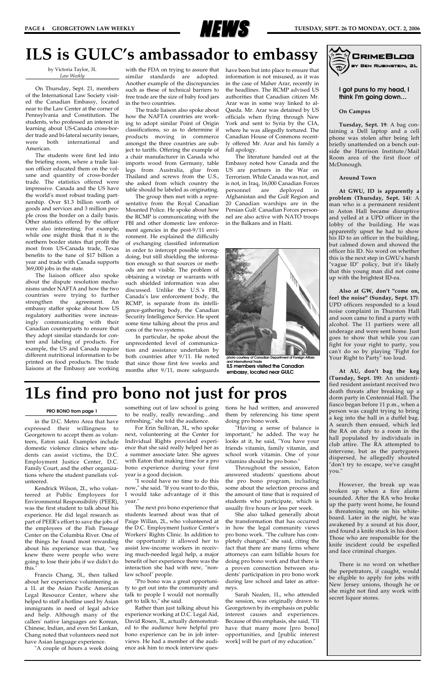

**I got puns to my head, I think I'm going down…**

**On Campus**

**Tuesday, Sept. 19**: A bag containing a Dell laptop and a cell phone was stolen after being left briefly unattended on a bench outside the Harrison Institute/Mail Room area of the first floor of McDonough.

#### **Around Town**

**At GWU, ID is apparently a problem (Thursday, Sept. 14)**: A man who is a permanent resident in Aston Hall became disruptive and yelled at a UPD officer in the lobby of the building. He was apparently upset he had to show his ID to an officer in the building, but calmed down and showed the officer his ID. No word on whether this is the next step in GWU's harsh "vague ID" policy, but it's likely that this young man did not come up with the brightest ID-ea.

**Also at GW, don't "come on, feel the noise" (Sunday, Sept. 17)**: UPD officers responded to a loud noise complaint in Thurston Hall and soon came to find a party with alcohol. The 11 partiers were all underage and were sent home. Just goes to show that while you can fight for your right to party, you can't do so by playing "Fight for Your Right to Party" too loud.

**At AU, don't bag the keg (Tuesday, Sept. 19)**: An unidentified resident assistant received two death threats after breaking up a dorm party in Centennial Hall. The fiasco began before 11 p.m., when a person was caught trying to bring a keg into the hall in a duffel bag. A search then ensued, which led the RA on duty to a room in the hall populated by individuals in club attire. The RA attempted to intervene, but as the partygoers dispersed, he allegedly shouted "don't try to escape, we've caught you."

However, the break up was broken up when a fire alarm sounded. After the RA who broke up the party went home, he found a threatening note on his whiteboard. Later in the night, he was awakened by a sound at his door, and found a knife stuck in his door. Those who are responsible for the knife incident could be expelled and face criminal charges.

with the FDA on trying to assure that have been but into place to ensure that similar standards are adopted. Another example of the discrepancies such as these of technical barriers to free trade are the size of baby food jars in the two countries.

> There is no word on whether the perpetrators, if caught, would be eligible to apply for jobs with New Jersey unions, though he or she might not find any work with secret liquor stores.



### **1Ls find pro bono not just for pros**

by Victoria Taylor, 3L *Law Weekly*

On Thursday, Sept. 21, members of the International Law Society visited the Canadian Embassy, located near to the Law Center at the corner of Pennsylvania and Constitution. The students, who professed an interest in learning about US-Canada cross-border trade and bi-lateral security issues, were both international and American.

The students were first led into the briefing room, where a trade liaison officer educated them on the volume and quantity of cross-border trade. The statistics offered were impressive. Canada and the US have the world's most robust trading partnership. Over \$1.3 billion worth of goods and services and 3 million people cross the border on a daily basis. Other statistics offered by the officer were also interesting. For example, while one might think that it is the northern border states that profit the most from US-Canada trade, Texas benefits to the tune of \$17 billion a year and trade with Canada supports 369,000 jobs in the state.

The liaison officer also spoke about the dispute resolution mechanisms under NAFTA and how the two countries were trying to further strengthen the agreement. An embassy staffer spoke about how US regulatory authorities were increasingly communicating with their Canadian counterparts to ensure that they adopt similar standards for content and labeling of products. For example, the US and Canada require different nutritional information to be printed on food products. The trade liaisons at the Embassy are working

The trade liaison also spoke about how the NAFTA countries are working to adopt similar Point of Origin classifications, so as to determine if products moving in commerce amongst the three countries are subject to tariffs. Offering the example of a chair manufacturer in Canada who imports wood from Germany, table legs from Australia, glue from Thailand and screws from the U.S., she asked from which country the table should be labeled as originating.

The group then met with a representative from the Royal Canadian Mounted Police. He spoke about how the RCMP is communicating with the FBI and other domestic law enforcement agencies in the post-9/11 environment. He explained the difficulty of exchanging classified information in order to intercept possible wrongdoing, but still shielding the information enough so that sources or methods are not visible. The problem of obtaining a wiretap or warrants with such shielded information was also discussed. Unlike the U.S.'s FBI, Canada's law enforcement body, the RCMP, is separate from its intelligence-gathering body, the Canadian Security Intelligence Service. He spent some time talking about the pros and cons of the two systems.

In particular, he spoke about the unprecedented level of communication and assistance undertaken by both countries after 9/11. He noted that since those first few weeks and months after 9/11, more safeguards

information is not misused, as it was in the case of Maher Arar, recently in the headlines. The RCMP advised US authorities that Canadian citizen Mr. Arar was in some way linked to al-Qaeda. Mr. Arar was detained by US officials when flying through New York and sent to Syria by the CIA, where he was allegedly tortured. The Canadian House of Commons recently offered Mr. Arar and his family a full apology.

The literature handed out at the Embassy noted how Canada and the US are partners in the War on Terrorism. While Canada was not, and is not, in Iraq, 16,000 Canadian Forces personnel are deployed in Afghanistan and the Gulf Region and 20 Canadian warships are in the Persian Gulf. Canadian Forces personnel are also active with NATO troops in the Balkans and in Haiti.

### **ILS is GULC's ambassador to embassy**

in the D.C. Metro Area that have expressed their willingness to Georgetown to accept them as volunteers, Eaton said. Examples include domestic violence clinics where students can assist victims, the D.C. Employment Justice Center, D.C. Family Court, and the other organizations where the student panelists volunteered.

Kendrick Wilson, 2L, who volunteered at Public Employees for Environmental Responsibility (PEER), was the first student to talk about his experience. He did legal research as part of PEER's effort to save the jobs of the employees of the Fish Passage Center on the Columbia River. One of the things he found most rewarding about his experience was that, "we knew there were people who were going to lose their jobs if we didn't do this." Francis Chang, 3L, then talked about her experience volunteering as a 1L at the Asian Pacific American Legal Resource Center, where she helped to staff a hotline used by Asian immigrants in need of legal advice and help. Although many of the callers' native languages are Korean, Chinese, Indian, and even Sri Lankan, Chang noted that volunteers need not have Asian language experience. "A couple of hours a week doing

something out of law school is going to be really, really rewarding…and refreshing," she told the audience.

For Erin Sullivan, 3L, who spoke next, volunteering at the Center for Individual Rights provided experience that she said really helped her as a summer associate later. She agrees with Eaton that making time for a pro bono experience during your first year is a good decision.

"I would have no time to do this now," she said. "If you want to do this, I would take advantage of it this year." The next pro bono experience that students learned about was that of Paige Willan, 2L, who volunteered at the D.C. Employment Justice Center's Workers' Rights Clinic. In addition to the opportunity it allowed her to assist low-income workers in receiving much-needed legal help, a major benefit of her experience there was the interaction she had with new, "nonlaw school" people. "Pro bono was a great opportunity to get out into the community and talk to people I would not normally get to talk to," she said. Rather than just talking about his experience working at D.C. Legal Aid, David Rosen, 3L, actually demonstrated to the audience how helpful pro bono experience can be in job interviews. He had a member of the audience ask him to mock interview questions he had written, and answered them by referencing his time spent doing pro bono work.

"Having a sense of balance is important," he added. The way he looks at it, he said, "You have your friends vitamin, family vitamin, and school work vitamin. One of your vitamins should be pro bono."

Throughout the session, Eaton answered students' questions about the pro bono program, including some about the selection process and the amount of time that is required of students who participate, which is

usually five hours or less per week.

She also talked generally about the transformation that has occurred in how the legal community views pro bono work. "The culture has completely changed," she said, citing the fact that there are many firms where attorneys can earn billable hours for doing pro bono work and that there is a proven connection between students' participation in pro bono work during law school and later as attorneys.

Sarah Nealen, 1L, who attended the session, was originally drawn to Georgetown by its emphasis on public interest causes and experiences. Because of this emphasis, she said, "I'll have that many more [pro bono] opportunities, and [public interest work] will be part of my education."



**photo courtesy of Canadian Department of Foreign Affairs and International Trade ILS members visited the Canadian embassy, located near GULC**

#### **PRO BONO from page 1**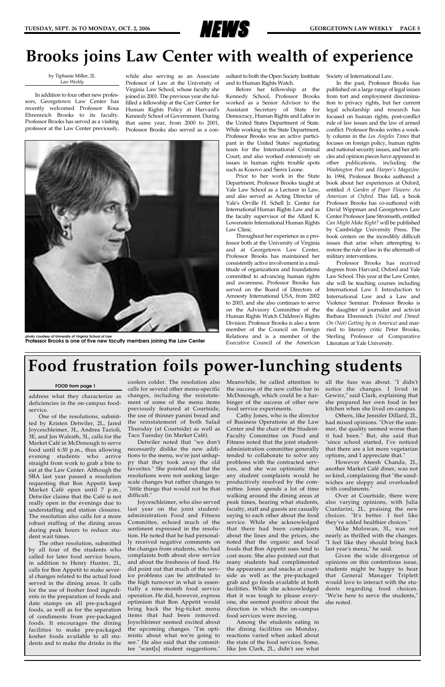address what they characterize as deficiencies in the on-campus foodservice.

One of the resolutions, submitted by Kristen Detwiler, 2L, Jared Joyceschleimer, 3L, Andrea Tazioli, 3E, and Jen Walrath, 3L, calls for the Market Café in McDonough to serve food until 6:30 p.m., thus allowing evening students who arrive straight from work to grab a bite to eat at the Law Center. Although the SBA last year passed a resolution requesting that Bon Appetit keep Market Café open until 7 p.m., Detwiler claims that the Café is not really open in the evenings due to understaffing and station closures. The resolution also calls for a more robust staffing of the dining areas during peak hours to reduce student wait times. The other resolution, submitted by all four of the students who called for later food service hours, in addition to Henry Hunter, 2L, calls for Bon Appetit to make several changes related to the actual food served in the dining areas. It calls for the use of fresher food ingredients in the preparation of foods and date stamps on all pre-packaged foods, as well as for the separation of condiments from pre-packaged foods. It encourages the dining facilities to make pre-packaged kosher foods available to all students and to make the drinks in the

coolers colder. The resolution also calls for several other menu-specific changes, including the reinstatement of some of the menu items previously featured at Courtside, the use of thinner panini bread and the reinstatement of both Salad Thursday (at Courtside) as well as Taco Tuesday (in Market Café).

Detwiler noted that "we don't necessarily dislike the new additions to the menu, we're just unhappy that they took away the old favorites." She pointed out that the resolutions were not seeking largescale changes but rather changes to "little things that would not be that difficult."

Joyceschleimer, who also served last year on the joint studentadministration Food and Fitness Committee, echoed much of the sentiment expressed in the resolution. He noted that he had personally received negative comments on the changes from students, who had complaints both about slow service and about the freshness of food. He did point out that much of the service problems can be attributed to the high turnover in what is essentially a nine-month food service operation. He did, however, express optimism that Bon Appetit would bring back the big-ticket menu items that had been removed. Joyschleimer seemed excited about the upcoming changes. "I'm optimistic about what we're going to see." He also said that the committee "want[s] student suggestions." Meanwhile, he called attention to the success of the new coffee bar in McDonough, which could be a harbinger of the success of other new food service experiments.

Cathy Jones, who is the director of Business Operations at the Law Center and the chair of the Student-Faculty Committee on Food and Fitness noted that the joint studentadministration committee generally tended to collaborate to solve any problems with the contracted services, and she was optimistic that any student complaints would be productively resolved by the committee. Jones spends a lot of time walking around the dining areas at peak times, hearing what students, faculty, staff and guests are casually saying to each other about the food service. While she acknowledged that there had been complaints about the lines and the prices, she noted that the organic and local foods that Bon Appetit uses tend to cost more. She also pointed out that many students had complimented the appearance and snacks at courtside as well as the pre-packaged grab and go foods available at both facilities. While she acknowledged that it was tough to please everyone, she seemed positive about the direction in which the on-campus food services were moving. Among the students eating in the dining facilities on Monday, reactions varied when asked about the state of the food services. Some, like Jen Clark, 2L, didn't see what

all the fuss was about. "I didn't notice the changes. I lived in Gewirz," said Clark, explaining that she prepared her own food in her kitchen when she lived on-campus.

Others, like Jennifer Dillard, 2L, had mixed opinions. "Over the summer, the quality seemed worse than it had been." But, she said that "since school started, I've noticed that there are a lot more vegetarian options, and I appreciate that."

However Ateesh Chanda, 2L, another Market Café diner, was not so kind, complaining that "the sandwiches are sloppy and overloaded with condiments."

Over at Courtside, there were also varying opinions, with Julia Cianfarini, 2L, praising the new choices. "It's better. I feel like they've added healthier choices." Mike Molowan, 3L, was not nearly as thrilled with the changes. "I feel like they should bring back last year's menu," he said. Given the wide divergence of opinions on this contentious issue, students might be happy to hear that General Manager Triplett would love to interact with the students regarding food choices. "We're here to serve the students,' she noted.



### **Brooks joins Law Center with wealth of experience**

#### by Tiphanie Miller, 2L *Law Weekly*

In addition to four other new professors, Georgetown Law Center has recently welcomed Professor Rosa Ehrenreich Brooks to its faculty. Professor Brooks has served as a visiting professor at the Law Center previously,

while also serving as an Associate Professor of Law at the University of Virginia Law School, whose faculty she joined in 2001. The previous year she fulfilled a fellowship at the Carr Center for Human Rights Policy at Harvard's Kennedy School of Government. During that same year, from 2000 to 2001, Professor Brooks also served as a consultant to both the Open Society Institute and to Human Rights Watch.

Before her fellowship at the Kennedy School, Professor Brooks worked as a Senior Advisor to the Assistant Secretary of State for Democracy, Human Rights and Labor in the United States Department of State. While working in the State Department, Professor Brooks was an active participant in the United States' negotiating team for the International Criminal Court, and also worked extensively on issues in human rights trouble spots such as Kosovo and Sierra Leone.

Prior to her work in the State Department, Professor Brooks taught at Yale Law School as a Lecturer in Law, and also served as Acting Director of Yale's Orville H. Schell Jr. Center for International Human Rights Law and as the faculty supervisor of the Allard K. Lowenstein International Human Rights Law Clinic.

Throughout her experience as a professor both at the University of Virginia and at Georgetown Law Center, Professor Brooks has maintained her consistently active involvement in a multitude of organizations and foundations committed to advancing human rights and awareness. Professor Brooks has served on the Board of Directors of Amnesty International USA, from 2002 to 2003, and she also continues to serve on the Advisory Committee of the Human Rights Watch Children's Rights Division. Professor Brooks is also a term member of the Council on Foreign Relations and is a member of the Executive Council of the American

Society of International Law.

In the past, Professor Brooks has published on a large range of legal issues from tort and employment discrimination to privacy rights, but her current legal scholarship and research has focused on human rights, post-conflict rule of law issues and the law of armed conflict. Professor Brooks writes a weekly column in the *Los Angeles Times* that focuses on foreign policy, human rights and national security issues, and her articles and opinion pieces have appeared in other publications, including the *Washington Post* and *Harper's Magazine*. In 1994, Professor Brooks authored a book about her experiences at Oxford, entitled *A Garden of Paper Flowers: An American at Oxford*. This fall, a book Professor Brooks has co-authored with David Wippman and Georgetown Law Center Professor Jane Stromseth, entitled *Can Might Make Right?* will be published by Cambridge University Press. The book centers on the incredibly difficult issues that arise when attempting to restore the rule of law in the aftermath of military interventions.

Professor Brooks has received degrees from Harvard, Oxford and Yale Law School. This year at the Law Center, she will be teaching courses including International Law I: Introduction to International Law and a Law and Violence Seminar. Professor Brooks is the daughter of journalist and activist Barbara Ehrenreich (*Nickel and Dimed: On (Not) Getting by in America)* and married to literary critic Peter Brooks, Sterling Professor of Comparative Literature at Yale University.



**Professor Brooks is one of five new faculty members joining the Law Center**

### **Food frustration foils power-lunching students**

#### **FOOD from page 1**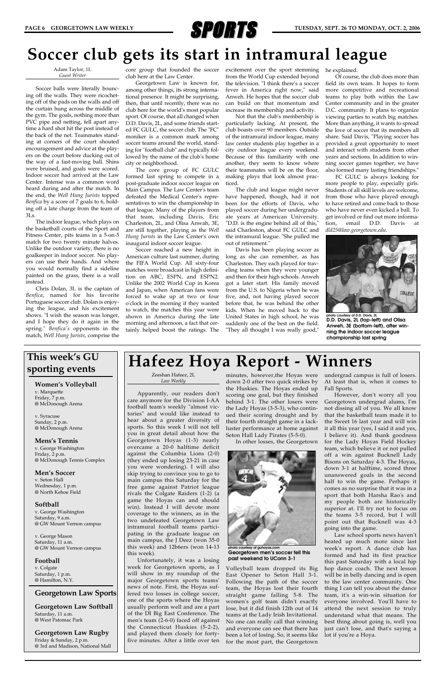

Adam Taylor, 1L *Guest Writer*

Soccer balls were literally bouncing off the walls. They were ricocheting off of the pads on the walls and off the curtain hung across the middle of the gym. The goals, nothing more than PVC pipe and netting, fell apart anytime a hard shot hit the post instead of the back of the net. Teammates standing at corners of the court shouted encouragement and advice at the players on the court before ducking out of the way of a fast-moving ball. Shins were bruised, and goals were scored. Indoor soccer had arrived at the Law Center. Intense was a common word heard during and after the match. In the end, the *Well Hung Jurists* topped *Benfica* by a score of 7 goals to 6, holding off a late charge from the team of 3Ls.

The indoor league, which plays on the basketball courts of the Sport and Fitness Center, pits teams in a 5-on-5 match for two twenty minute halves. Unlike the outdoor variety, there is no goalkeeper in indoor soccer. No players can use their hands. And where you would normally find a sideline painted on the grass, there is a wall instead.

Chris Dolan, 3L is the captain of *Benfica*, named for his favorite Portuguese soccer club. Dolan is enjoying the league, and his excitement shows. "I wish the season was longer, and I hope they do it again in the spring." *Benfica's* opponents in the match, *Well Hung Jurists*, comprise the

core group that founded the soccer club here at the Law Center.

Georgetown Law is known for, among other things, its strong international presence. It might be surprising, then, that until recently, there was no club here for the world's most popular sport. Of course, that all changed when D.D. Davis, 2L, and some friends started FC GULC, the soccer club. The "FC" moniker is a common mark among soccer teams around the world, standing for "football club" and typically followed by the name of the club's home city or neighborhood.

The core group of FC GULC formed last spring to compete in a post-graduate indoor soccer league on Main Campus. The Law Center's team defeated the Medical Center's representatives to win the championship in that league. Many of the players from that team, including Davis, Eric Charleston, 2L, and Olisa Anwah, 3E, are still together, playing as the *Well Hung Jurists* in the Law Center's own inaugural indoor soccer league.

Soccer reached a new height in American culture last summer, during the FIFA World Cup. All sixty-four matches were broadcast in high definition on ABC, ESPN, and ESPN2. Unlike the 2002 World Cup in Korea and Japan, when American fans were forced to wake up at two or four o'clock in the morning if they wanted to watch, the matches this year were shown in America during the late morning and afternoon, a fact that certainly helped boost the ratings. The

excitement over the sport stemming from the World Cup extended beyond the television. "I think there's a soccer fever in America right now," said Anweh. He hopes that the soccer club can build on that momentum and increase its membership and activity.

Not that the club's membership is particularly lacking. At present, the club boasts over 90 members. Outside of the intramural indoor league, many law center students play together in a city outdoor league every weekend. Because of this familiarity with one another, they seem to know where their teammates will be on the floor, making plays that look almost practiced.

The club and league might never have happened, though, had it not been for the efforts of Davis, who played soccer during her undergraduate years at American University. "D.D. is the engine behind all of this," said Charleston, about FC GULC and the intramural league. "She pulled me out of retirement."

Davis has been playing soccer as long as she can remember, as has Charleston. They each played for traveling teams when they were younger and then for their high schools. Anweh got a later start. His family moved from the U.S. to Nigeria when he was five, and, not having played soccer before that, he was behind the other kids. When he moved back to the United States in high school, he was suddenly one of the best on the field. "They all thought I was really good,"

he explained.

Of course, the club does more than field its own team. It hopes to form more competitive and recreational teams to play both within the Law Center community and in the greater D.C. community. It plans to organize viewing parties to watch big matches. More than anything, it wants to spread the love of soccer that its members all share. Said Davis, "Playing soccer has provided a great opportunity to meet and interact with students from other years and sections. In addition to winning soccer games together, we have also formed many lasting friendships."

FC GULC is always looking for more people to play, especially girls. Students of all skill levels are welcome, from those who have played enough to have retired and come back to those who have never even kicked a ball. To get involved or find out more information, email D.D. Davis at *dld25@law.georgetown.edu*.

### **Soccer club gets its start in intramural league**

Zeeshan Hafeez, 2L *Law Weekly*

Apparently, our readers don't care anymore for the Division I-AA football team's weekly "almost victories" and would like instead to hear about a greater diversity of sports. So this week I will not tell you in great detail about how the Georgetown Hoyas (1-3) nearly overcame a 20-0 halftime deficit against the Columbia Lions (2-0) (they ended up losing 23-21 in case you were wondering). I will also skip trying to convince you to go to main campus this Saturday for the free game against Patriot league rivals the Colgate Raiders (1-2) (a game the Hoyas can and should win). Instead I will devote more coverage to the winners, as in the two undefeated Georgetown Law intramural football teams participating in the graduate league on main campus, the J Deez (won 35-0 this week) and 12b6ers (won 14-13 this week). Unfortunately, it was a losing week for Georgetown sports, as I will show in my roundup of the major Georgetown sports teams' news of note. First, the Hoyas suffered two losses in college soccer, one of the sports where the Hoyas usually perform well and are a part of the DI Big East Conference. The men's team (2-6-0) faced off against the Connecticut Huskies (5-2-2), and played them closely for fortyfive minutes. After a little over ten minutes, however,the Hoyas were down 2-0 after two quick strikes by the Huskies. The Hoyas ended up scoring one goal, but they finished behind 3-1. The other losers were the Lady Hoyas (3-5-3), who continued their scoring drought and by their fourth straight game in a lackluster performance at home against Seton Hall Lady Pirates (5-5-0).

In other losses, the Georgetown



Volleyball team dropped its Big East Opener to Seton Hall 3-1. Following the path of the soccer team, the Hoyas lost their fourth straight game falling 5-8. The women's golf team didn't exactly lose, but it did finish 12th out of 14 teams at the Lady Irish Invitational. No one can really call that winning and everyone can see that there has been a lot of losing. So, it seems like for the most part, the Georgetown

undergrad campus is full of losers. At least that is, when it comes to Fall Sports.

However, don't worry all you Georgetown undergrad alums, I'm not dissing all of you. We all know that the basketball team made it to the Sweet 16 last year and will win it all this year (yes, I said it and yes, I believe it). And thank goodness for the Lady Hoyas Field Hockey team, which believe it or not pulled off a win against Bucknell Lady Bisons on Saturday 4-3. The Hoyas, down 3-1 at halftime, scored three unanswered goals in the second half to win the game. Perhaps it comes as no surprise that it was in a sport that both Harsha Rao's and my people both are historically superior at. I'll try not to focus on the teams 3-5 record, but I will point out that Bucknell was 4-3 going into the game. Law school sports news haven't heated up much more since last week's report. A dance club has formed and had its first practice this past Saturday with a local hip hop dance coach. The next lesson will be in belly dancing and is open to the law center community. One thing I can tell you about the dance team, it's a win-win situation for everyone involved. You'll have to attend the next session to truly understand what that means. The best thing about going is, well you just can't lose, and that's saying a lot if you're a Hoya.

**photo courtesy of guhoyas.com Georgetown men's soccer fell this past weekend to UConn 3-1**

### **Women's Volleyball**

v. Marquette Friday, 7 p.m. @ McDonough Arena

v. Syracuse Sunday, 2 p.m. @ McDonough Arena

#### **Mens's Tennis**

v. George Washington Friday, 2 p.m. @ McDonough Tennis Complex

### **Men's Soccer**

v. Seton Hall Wednesday, 1 p.m. @ North Kehoe Field

### **Softball**

# This week's GU | **Hafeez Hoya Report - Winners**

v. George Washington Saturday, 9 a.m. @ GW Mount Vernon campus

v. George Mason Saturday, 11 a.m. @ GW Mount Vernon campus

### **Football**

v. Colgate Saturday, 1 p.m. @ Hamilton, N.Y.

### **Georgetown Law Sports**

**Georgetown Law Softball** Saturday, 11 a.m. @ West Patomac Park

**Georgetown Law Rugby** Friday & Sunday, 2 p.m. @ 3rd and Madison, National Mall

# **This week's GU**



**photo courtesy of D.D. Davis, 2L D.D. Davis, 2L (top-left) and Olisa Anweh, 3E (bottom-left), after winning the indoor soccer league championship last spring**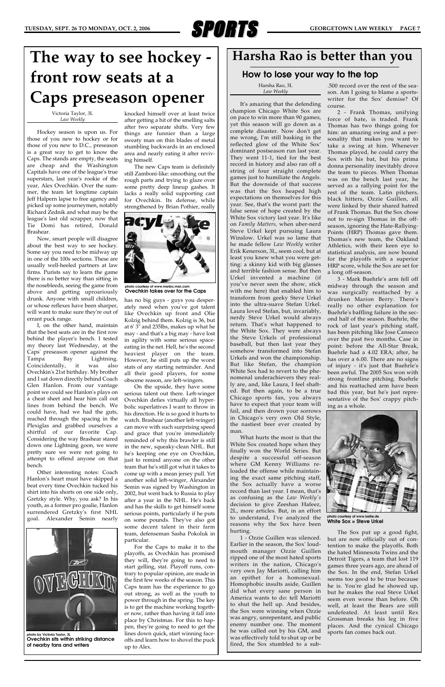

Victoria Taylor, 3L *Law Weekly*

Hockey season is upon us. For those of you new to hockey or for those of you new to D.C., preseason is a great way to get to know the Caps. The stands are empty, the seats are cheap and the Washington Capitals have one of the league's true superstars, last year's rookie of the year, Alex Ovechkin. Over the summer, the team let longtime captain Jeff Halpern lapse to free agency and picked up some journeymen, notably Richard Zednik and what may be the league's last old scrapper, now that Tie Domi has retired, Donald Brashear.

Now, smart people will disagree about the best way to see hockey. Some say you need to be midway up in one of the 100s sections. These are usually well-heeled partners at law firms. Purists say to learn the game there is no better way than sitting in the nosebleeds, seeing the game from above and getting uproariously drunk. Anyone with small children, or whose reflexes have been sharper, will want to make sure they're out of errant puck range.

I, on the other hand, maintain that the best seats are in the first row behind the player's bench. I tested my theory last Wednesday, at the Caps' preseason opener against the Tampa Bay Lightning. Coincidentally, it was also Ovechkin's 21st birthday. My brother and I sat down directly behind Coach Glen Hanlon. From our vantage point we could see Hanlon's plays on a cheat sheet and hear him call out lines from behind the bench. We could have, had we had the guts, reached through the spacing in the Plexiglas and grabbed ourselves a shirtful of our favorite Cap. Considering the way Brashear stared down one Lightning goon, we were pretty sure we were not going to attempt to offend anyone on that bench.

Other interesting notes: Coach Hanlon's heart must have skipped a beat every time Ovechkin tucked his shirt into his shorts on one side only, Gretzky style. Why, you ask? In his youth, as a former pro goalie, Hanlon surrendered Gretzky's first NHL goal. Alexander Semin nearly

knocked himself over at least twice after getting a hit of the smelling salts after two separate shifts. Very few things are funnier than a large sweaty man on thin blades of metal stumbling backwards in an enclosed area and nearly eating it after reviving himself.

The new Caps team is definitely still Zamboni-like: smoothing out the rough parts and trying to glaze over some pretty deep lineup gashes. It lacks a really solid supporting cast for Ovechkin. Its defense, while strengthened by Brian Pothier, really

has no big guys - guys you desperately need when you've got talent like Ovechkin up front and Olie Kolzig behind them. Kolzig is 36, but at 6' 3" and 235lbs, makes up what he may - and that's a big may - have lost in agility with some serious spaceeating in the net. Hell, he's the second heaviest player on the team. However, he still puts up the worst stats of any starting netminder. And all their good players, for some obscene reason, are left-wingers.

On the upside, they have some serious talent out there. Left-winger Ovechkin defies virtually all hyperbolic superlatives I want to throw in his direction. He is so good it hurts to watch. Brashear (another left-winger) can move with such surprising speed and grace that you're immediately reminded of why this brawler is still in the new, squeaky-clean NHL. But he's keeping one eye on Ovechkin, just to remind anyone on the other team that he's still got what it takes to come up with a mean jersey pull. Yet another solid left-winger, Alexander Semin was signed by Washington in 2002, but went back to Russia to play after a year in the NHL. He's back

and has the skills to get himself some serious points, particularly if he puts on some pounds. They've also got some decent talent in their farm team, defenseman Sasha Pokoluk in particular.

For the Caps to make it to the playoffs, as Ovechkin has promised they will, they're going to need to start gelling, stat. Playoff runs, contrary to popular opinion, are made in the first few weeks of the season. This Caps team has the experience to go out strong, as well as the youth to power through in the spring. The key is to get the machine working together now, rather than having it fall into place by Christmas. For this to happen, they're going to need to get the lines down quick, start winning faceoffs and learn how to shovel the puck up to Alex.

## **The way to see hockey front row seats at a Caps preseason opener**



**photo by Victoria Taylor, 3L Ovechkin sits within striking distance of nearby fans and writers**

Harsha Rao, 3L *Law Weekly*

It's amazing that the defending champion Chicago White Sox are on pace to win more than 90 games, yet this season will go down as a complete disaster. Now don't get me wrong, I'm still basking in the reflected glow of the White Sox' dominant postseason run last year. They went 11-1, tied for the best record in history and also ran off a string of four straight complete games just to humiliate the Angels. But the downside of that success was that the Sox heaped high expectations on themselves for this year. See, that's the worst part: the false sense of hope created by the White Sox victory last year. It's like on *Family Matters,* when uber-nerd Steve Urkel kept pursuing Laura Winslow. Urkel was so lame that he made fellow *Law Weekly* writer Erik Kenerson, 3L, seem cool, but at least you knew what you were getting: a skinny kid with big glasses and terrible fashion sense. But then Urkel invented a machine (if you've never seen the show, stick with me here) that enabled him to transform from geeky Steve Urkel into the ultra-suave Stefan Urkel. Laura loved Stefan, but, invariably, nerdy Steve Urkel would always return. That's what happened to the White Sox. They were always the Steve Urkels of professional baseball, but then last year they somehow transformed into Stefan Urkels and won the championship. But like Stefan, the champion White Sox had to revert to the phenomenal underachievers they really are, and, like Laura, I feel shafted. But then again, to be a true Chicago sports fan, you always have to expect that your team will fail, and then drown your sorrows in Chicago's very own Old Style, the nastiest beer ever created by man.

What hurts the most is that the White Sox created hope when they finally won the World Series. But despite a successful off-season where GM Kenny Williams reloaded the offense while maintaining the exact same pitching staff, the Sox actually have a worse record than last year. I mean, that's as confusing as the *Law Weekly's* decision to give Zeeshan Hafeez, 2L, more articles. But, in an effort to understand, I've analyzed the reasons why the Sox have been hurting. 1 - Ozzie Guillen was silenced. Earlier in the season, the Sox' loudmouth manager Ozzie Guillen ripped one of the most hated sports writers in the nation, Chicago's very own Jay Mariotti, calling him an epithet for a homosexual. Homophobic insults aside, Guillen did what every sane person in America wants to do: tell Mariotti to shut the hell up. And besides, the Sox were winning when Ozzie was angry, unrepentant, and public enemy number one. The moment he was called out by his GM, and was effectively told to shut up or be fired, the Sox stumbled to a sub-

.500 record over the rest of the season. Am I going to blame a sportswriter for the Sox' demise? Of course.

2 - Frank Thomas, unifying force of hate, is traded. Frank Thomas has two things going for him: an amazing swing and a personality that makes you want to take a swing at him. Whenever Thomas played, he could carry the Sox with his bat, but his prima donna personality inevitably drove the team to pieces. When Thomas was on the bench last year, he served as a rallying point for the rest of the team. Latin pitchers, black hitters, Ozzie Guillen, all were linked by their shared hatred of Frank Thomas. But the Sox chose not to re-sign Thomas in the offseason, ignoring the Hate-Rallying-Points (HRP) Thomas gave them. Thomas's new team, the Oakland Athletics, with their keen eye to statistical analysis, are now bound for the playoffs with a superior HRP score, while the Sox are set for a long off-season.

3 - Mark Buehrle's arm fell off midway through the season and was surgically reattached by a drunken Marion Berry. There's really no other explanation for Buehrle's baffling failure in the second half of the season. Buehrle, the rock of last year's pitching staff, has been pitching like Jose Canseco over the past two months. Case in point: before the All-Star Break, Buehrle had a 4.02 ERA; after, he has over a 6.00. There are no signs of injury - it's just that Buehrle's been awful. The 2005 Sox won with strong frontline pitching. Buehrle and his reattached arm have been bad this year, but he's just representative of the Sox' crappy pitching as a whole.



The Sox put up a good fight, but are now officially out of contention to make the playoffs. Both the hated Minnesota Twins and the Detroit Tigers, a team that lost 119 games three years ago, are ahead of the Sox. In the end, Stefan Urkel seems too good to be true because he is. You're glad he showed up, but he makes the real Steve Urkel seem even worse than before. Oh well, at least the Bears are still undefeated. At least until Rex Grossman breaks his leg in five places. And the cynical Chicago sports fan comes back out.

### **Harsha Rao is better than you**

### **How to lose your way to the top**

**photo courtesy of www.kellie.de White Sox = Steve Urkel**



**photo courtesy of www.msnbc.msn.com Ovechkin takes over for the Caps**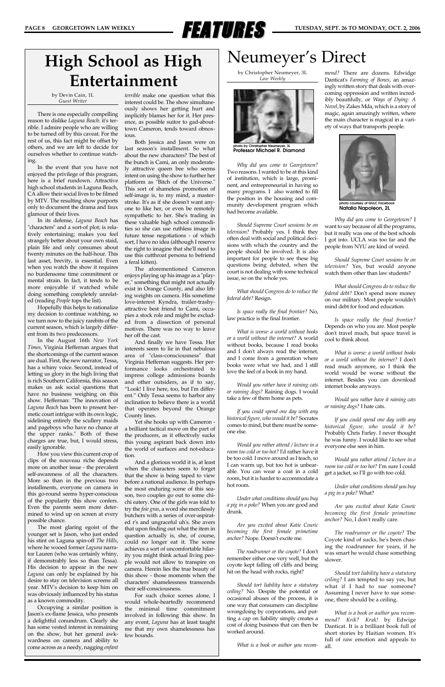

by Christopher Neumeyer, 3L *Law Weekly*

*Why did you come to Georgetown?* Two reasons. I wanted to be at this kind of institution, which is large, prominent, and entrepreneurial in having so many programs. I also wanted to fill the position in the housing and community development program which had become available.

*Should Supreme Court sessions be on television?* Probably yes. I think they often deal with social and political decisions with which the country and the people should be involved. It is also important for people to see these big questions being debated, when the court is not dealing with some technical issue, so on the whole yes.

*What should Congress do to reduce the federal debt?* Resign.

*Is space really the final frontier?* No, law practice is the final frontier.

*What is worse: a world without books or a world without the internet?* A world without books, because I read books and I don't always read the internet, and I come from a generation where books were what we had, and I still love the feel of a book in my hand.

*Would you rather have it raining cats or raining dogs?* Raining dogs. I would take a few of them home as pets.

*If you could spend one day with any historical figure, who would it be?* Socrates comes to mind, but there must be someone else.

*Would you rather attend / lecture in a room too cold or too hot?* I'd rather have it be too cold. I move around as I teach, so I can warm up, but too hot is unbearable. You can wear a coat in a cold room, but it is harder to accommodate a hot room.

*Under what conditions should you buy a pig in a poke?* When you are good and drunk.

*Are you excited about Katie Couric becoming the first female primetime anchor?* Nope. Doesn't excite me.

*The roadrunner or the coyote?* I don't remember either one very well, but the coyote kept falling off cliffs and being hit on the head with rocks, right?

*Should tort liability have a statutory ceiling?* No. Despite the potential or occasional abuses of the process, it is one way that consumers can discipline wrongdoing by corporations, and putting a cap on liability simply creates a cost of doing business that can then be worked around.

*What is a book or author you recom-*

*mend?* There are dozens. Edwidge Danticat's *Farming of Bones*, an amazingly written story that deals with overcoming oppression and written incredibly beautifully, or *Ways of Dying: A Novel*, by Zakes Mda, which is a story of magic, again amazingly written, where the main character is magical in a variety of ways that transports people.

*Why did you come to Georgetown?* I want to say because of all the programs, but it really was one of the best schools I got into. UCLA was too far and the people from NYU are kind of weird.

*Should Supreme Court sessions be on television?* Yes, but would anyone watch them other than law students?

*What should Congress do to reduce the federal debt?* Don't spend more money on our military. Most people wouldn't mind debt for food and education.

*Is space really the final frontier?* Depends on who you are. Most people don't travel much, but space travel is cool to think about.

*What is worse: a world without books or a world without the internet?* I don't read much anymore, so I think the world would be worse without the internet. Besides you can download internet books anyways.

*Would you rather have it raining cats or raining dogs?* I hate cats.

*If you could spend one day with any historical figure, who would it be?* Probably Chris Farley. I never thought he was funny. I would like to see what everyone else sees in him.

*terrible* make one question what this interest could be. The show simultaneously shows her getting hurt and implicitly blames her for it. Her presence, as possible suitor to gad-abouttown Cameron, tends toward obnoxious

> *Would you rather attend / lecture in a room too cold or too hot?* I'm sure I could get a jacket, so I'll go with too cold.

> *Under what conditions should you buy a pig in a poke?* What?

*Are you excited about Katie Couric becoming the first female primetime anchor?* No, I don't really care.

*The roadrunner or the coyote?* The Coyote kind of sucks, he's been chasing the roadrunner for years, if he was smart he would chase something slower.

*Should tort liability have a statutory ceiling?* I am tempted to say yes, but what if I had to sue someone? Assuming I never have to sue someone, there should be a ceiling.

*What is a book or author you recommend? Krik? Krak!* by Edwige Danticat. It is a brilliant book full of short stories by Haitian women. It's full of raw emotion and appeals to all.

### **High School as High Entertainment**

by Devin Cain, 1L *Guest Writer*

There is one especially compelling reason to dislike *Laguna Beach*: it's terrible. I admire people who are willing to be turned off by this caveat. For the rest of us, this fact might be offset by others, and we are left to decide for ourselves whether to continue watching.

In the event that you have not enjoyed the privilege of this program, here is a brief rundown. Attractive high school students in Laguna Beach, CA allow their social lives to be filmed by MTV. The resulting show purports only to document the drama and faux glamour of their lives.

In its defense, *Laguna Beach* has "characters" and a sort-of plot; is relatively entertaining; makes you feel strangely better about your own staid, plain life and only consumes about twenty minutes on the half-hour. This last asset, brevity, is essential. Even when you watch the show it requires no burdensome time commitment or mental strain. In fact, it tends to be more enjoyable if watched while doing something completely unrelated (reading *People* tops the list).

Hopefully this helps to rationalize my decision to continue watching, so we turn now to the juicy rarebits of the current season, which is largely different from its two predecessors.

In the August 16th *New York Times*, Virginia Heffernan argues that the shortcomings of the current season are dual. First, the new narrator, Tessa, has a whiny voice. Second, instead of letting us glory in the high living that is rich Southern California, this season makes us ask social questions that have no business weighing on this show. Heffernan: "The innovation of *Laguna Beach* has been to present hermetic court intrigue with its own logic, sidelining entirely the scullery maids and pageboys who have no chance at the upper ranks." Both of these charges are true, but, I would stress, easily ignorable.

How you view this current crop of clips of the nouveau riche depends more on another issue - the prevalent self-awareness of all the characters. More so than in the previous two installments, everyone on camera in this go-round seems hyper-conscious of the popularity this show confers. Even the parents seem more determined to wind up on screen at every possible chance. The most glaring egoist of the younger set is Jason, who just ended his stint on Laguna spin-off *The Hills*, where he wooed former *Laguna* narrator Lauren (who was certainly whiny, if demonstrably less so than Tessa). His decision to appear in the new *Laguna* can only be explained by his desire to stay on television screens all year. MTV's decision to keep him on was obviously influenced by his status as a known commodity. Occupying a similar position is Jason's ex-flame Jessica, who presents a delightful conundrum. Clearly she has some vested interest in remaining on the show, but her general awkwardness on camera and ability to come across as a needy, nagging *enfant*

Both Jessica and Jason were on last season's installment. So what about the new characters? The best of the bunch is Cami, an only moderately attractive queen bee who seems intent on using the show to further her platform as "Bitch of the Universe." This sort of shameless promotion of self-image is, to my mind, a masterstroke. It's as if she doesn't want anyone to like her, or even be remotely sympathetic to her. She's trading in these valuable high school commodities so she can use ruthless image in future tense negotiations - of which sort, I have no idea (although I reserve the right to imagine that she'll need to use this cutthroat persona to befriend a feral kitten).

The aforementioned Cameron enjoys playing up his image as a "player," something that might not actually exist in Orange County, and also lifting weights on camera. His sometime love-interest Kyndra, trailer-trashyattractive best friend to Cami, occupies a stock role and might be excluded from a dissection of personal motives. There was no way to leave her off the cast.

And finally we have Tessa. Her interests seem to lie in that nebulous area of "class-consciousness" that Virginia Heffernan suggests. Her performance looks orchestrated to impress college admissions boards and other outsiders, as if to say, "Look! I live here, too, but I'm different." Only Tessa seems to harbor any inclination to believe there is a world that operates beyond the Orange County lines.

Yet she hooks up with Cameron a brilliant tactical move on the part of the producers, as it effectively sucks this young aspirant back down into the world of surfaces and not-education.

And a glorious world it is, at least when the characters seem to forget that the show is being taped to view before a national audience. In perhaps the most enduring scene of this season, two couples go out to some chichi eatery. One of the girls was told to try the *foie gras*, a word she mercilessly butchers with a series of over-aspirated r's and ungraceful uh's. She avers that upon finding out what the item in question actually is, she, of course, could no longer eat it. The scene achieves a sort of uncomfortable hilarity you might think actual living people would not allow to transpire on camera. Herein lies the true beauty of this show - those moments when the characters' shamelessness transcends their self-consciousness. For such choice scenes alone, I would whole-heartedly recommend the minimal time commitment involved in following this show. In any event, *Laguna* has at least taught me that my own shamelessness has few bounds.

### Neumeyer's Direct



**photo by Christopher Neumeyer, 3L Professor Michael R. Diamond**



**photo courtesy of GULC Facebook Natalia Napoleon, 2L**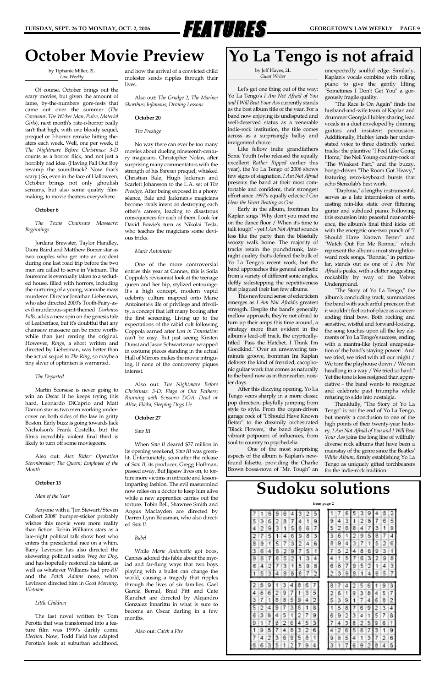

### **Yo La Tengo is not afraid**

by Jeff Hayes, 2L *Guest Writer*

Let's get one thing out of the way: Yo La Tengo's *I Am Not Afraid of You and I Will Beat Your Ass* currently stands as the best album title of the year. For a band now enjoying its undisputed and well-deserved status as a venerable indie-rock institution, the title comes across as a surprisingly ballsy and invigorated choice.

Like fellow indie grandfathers Sonic Youth (who released the equally excellent *Rather Ripped* earlier this year), the Yo La Tengo of 2006 shows few signs of stagnation. *I Am Not Afraid* presents the band at their most comfortable and confident, their strongest effort since 1997's equally eclectic *I Can Hear the Heart Beating as One*.

Early in the album, frontman Ira Kaplan sings "Why don't you meet me on the dance floor / When it's time to talk tough" - yet *I Am Not Afraid* sounds less like the party than the blissfully woozy walk home. The majority of tracks retain the punchdrunk, latenight quality that's defined the bulk of Yo La Tengo's recent work, but the band approaches this general aesthetic from a variety of different sonic angles, deftly sidestepping the repetitiveness that plagued their last few albums.

This newfound sense of eclecticism emerges as *I Am Not Afraid*'s greatest strength. Despite the band's generally mellow approach, they're not afraid to turn up their amps this time around, a strategy more than evident in the album's lead-off track, the crypticallytitled "Pass the Hatchet, I Think I'm Goodkind." Over an unwavering tenminute groove, frontman Ira Kaplan delivers the kind of frenzied, cacophonic guitar work that comes as naturally to the band now as in their earlier, noisier days.

After this dizzying opening, Yo La Tengo veers sharply in a more classic pop direction, playfully jumping from style to style. From the organ-driven garage rock of "I Should Have Known Better" to the dreamily orchestrated "Black Flowers," the band displays a vibrant potpourri of influences, from soul to country to psychedelia.

One of the most surprising aspects of the album is Kaplan's newfound falsetto, providing the Charlie Brown bossa-nova of "Mr. Tough" an

unexpectedly soulful edge. Similarly, Kaplan's vocals combine with rolling piano to give the gently lilting "Sometimes I Don't Get You" a gorgeously fragile quality.

"The Race Is On Again" finds the husband-and-wife team of Kaplan and drummer Georgia Hubley sharing lead vocals in a duet enveloped by chiming guitars and insistent percussion. Additionally, Hubley lends her understated voice to three distinctly varied tracks: the plaintive "I Feel Like Going Home," the Neil Young country-rock of "The Weakest Part," and the buzzy, bongo-driven "The Room Got Heavy," featuring retro-keyboard bursts that echo Stereolab's best work.

"Daphnia," a lengthy instrumental, serves as a late intermission of sorts, casting rain-like static over flittering guitar and subdued piano. Following this excursion into peaceful near-ambience, the album's final third kicks off with the energetic one-two punch of "I Should Have Known Better" and "Watch Out For Me Ronnie," which represent the album's most straightforward rock songs. "Ronnie," in particular, stands out as one of *I Am Not Afraid*'s peaks, with a clatter suggesting rockabilly by way of the Velvet Underground.

"The Story of Yo La Tengo," the album's concluding track, summarizes the band with such artful precision that it wouldn't feel out-of-place as a careerending final bow. Both rocking and sensitive, wistful and forward-looking, the song touches upon all the key elements of Yo La Tengo's success, ending with a mantra-like lyrical encapsulation of the band's staying power: "And we tried, we tried with all our might / We tore the playhouse down / We ran headlong in a way / We tried so hard." Yet the tone is less resigned than appreciative - the band wants to recognize and celebrate past triumphs while refusing to slide into nostalgia.

Thankfully, "The Story of Yo La Tengo" is not the end of Yo La Tengo, but merely a conclusion to one of the high points of their twenty-year history. *I Am Not Afraid of You and I Will Beat Your Ass* joins the long line of willfully diverse rock albums that have been a mainstay of the genre since the Beatles' *White Album*, firmly establishing Yo La Tengo as uniquely gifted torchbearers for the indie-rock tradition.

by Tiphanie Miller, 2L *Law Weekly*

Of course, October brings out the scary movies, but given the amount of lame, by-the-numbers gore-fests that came out over the summer (*The Covenant, The Wicker Man, Pulse, Material Girls*), next month's rate-o-horror really isn't that high, with one bloody sequel, prequel or J-horror remake hitting theaters each week. Well, one per week, if *The Nightmare Before Christmas: 3-D* counts as a horror flick, and not just a horribly bad idea. (Having Fall Out Boy revamp the soundtrack? Now that's scary.) So, even in the face of Halloween, October brings not only ghoulish screams, but also some quality filmmaking, to movie theaters everywhere.

#### **October 6**

*The Texas Chainsaw Massacre: Beginnings*

Jordana Brewster, Taylor Handley, Diora Baird and Matthew Bomer star as two couples who get into an accident during one last road trip before the two men are called to serve in Vietnam. The foursome is eventually taken to a secluded house, filled with horrors, including the nurturing of a young, wannabe mass murderer. Director Jonathan Liebesman, who also directed 2003's Tooth-Fairy-asevil-murderous-spirit-themed *Darkness Falls*, adds a new spin on the genesis tale of Leatherface, but it's doubtful that any chainsaw massacre can be more worthwhile than just renting the original. However, *Rings*, a short written and directed by Liebesman, was better than the actual sequel to *The Ring*, so maybe a tiny sliver of optimism is warranted.

#### *The Departed*

Martin Scorsese is never going to win an Oscar if he keeps trying this hard. Leonardo DiCaprio and Matt Damon star as two men working undercover on both sides of the law in gritty Boston. Early buzz is going towards Jack Nicholson's Frank Costello, but the film's incredibly violent final third is likely to turn off some moviegoers.

Also out: *Alex Rider: Operation Stormbreaker; The Queen; Employee of the Month*

#### **October 13**

*Man of the Year*

Anyone with a "Jon Stewart/Steven Colbert 2008" bumper-sticker probably wishes this movie were more reality than fiction. Robin Williams stars as a late-night political talk show host who enters the presidential race on a whim. Barry Levinson has also directed the skewering political satire *Wag the Dog*, and has hopefully restored his talent, as well as whatever Williams had pre-*RV* and the *Patch Adams* nose, when Levinson directed him in *Good Morning, Vietnam.*

#### *Little Children*

The last novel written by Tom Perotta that was transformed into a feature film was 1999's darkly comic *Election*. Now, Todd Field has adapted Perotta's look at suburban adulthood,

and how the arrival of a convicted child molester sends ripples through their lives.

Also out: *The Grudge 2; The Marine; Shortbus; Infamous; Driving Lessons*

#### **October 20**

#### *The Prestige*

No way there can ever be too many movies about dueling nineteenth-century magicians. Christopher Nolan, after surprising many commentators with the strength of his *Batman* prequel, whisked Christian Bale, Hugh Jackman and Scarlett Johansson to the L.A. set of *The Prestige*. After being exposed in a phony séance, Bale and Jackman's magicians become rivals intent on destroying each other's careers, leading to disastrous consequences for each of them. Look for David Bowie's turn as Nikolai Tesla, who teaches the magicians some devious tricks.

#### *Marie Antoinette*

One of the more controversial entries this year at Cannes, this is Sofia Coppola's revisionist look at the teenage queen and her hip, stylized entourage. It's a high concept, modern vapid celebrity culture mapped onto Marie Antoinette's life of privilege and frivolity, a concept that left many booing after the first screening. Living up to the expectations of the rabid cult following Coppola earned after *Lost in Translation* can't be easy. But just seeing Kirsten Dunst and Jason Schwartzman wrapped in costume pieces standing in the actual Hall of Mirrors makes the movie intriguing, if none of the controversy piques interest.

Also out: *The Nightmare Before Christmas: 3-D; Flags of Our Fathers; Running with Scissors; DOA: Dead or Alive; Flicka; Sleeping Dogs Lie*

#### **October 27**

#### *Saw III*

When *Saw II* cleared \$37 million in its opening weekend, *Saw III* was greenlit. Unfortunately, soon after the release of *Saw II*, its producer, Gregg Hoffman, passed away. But Jigsaw lives on, to torture more victims in intricate and lessonimparting fashion. The evil mastermind now relies on a doctor to keep him alive while a new apprentice carries out the torture. Tobin Bell, Shawnee Smith and Angus Macfayden are directed by Darren Lynn Bousman, who also directed *Saw II*.

#### *Babel*

While *Marie Antoinette* got boos, Cannes adored this fable about the myriad and far-flung ways that two boys playing with a bullet can change the world, causing a tragedy that ripples through the lives of six families. Gael Garcia Bernal, Brad Pitt and Cate Blanchet are directed by Alejandro Gonzalez Innarittu in what is sure to become an Oscar darling in a few months.

Also out: *Catch a Fire*

|   | я |   |   |    |   | 5 |   |   | ь |   | 9       |    | R | ń, |
|---|---|---|---|----|---|---|---|---|---|---|---------|----|---|----|
| Ś | б | R | 7 |    |   | 9 | ч |   | ٩ |   | 8       |    |   | 5  |
|   | 9 |   | 5 |    |   |   | 5 |   |   |   | .,<br>ı |    |   | 9  |
|   |   |   |   |    |   |   |   |   |   | ч |         |    |   | 4  |
| 9 |   |   | 3 |    |   | 6 | 8 | 9 |   |   | ۱       | £. |   | б  |
|   |   |   |   |    |   |   |   |   |   |   |         |    |   |    |
|   | 7 |   |   |    |   |   |   |   | 5 |   |         |    | ч | 8  |
|   | D |   |   |    | э | 8 | ô | ь |   |   |         |    |   | э  |
|   |   |   | ō |    |   | 2 |   |   |   |   |         |    |   | ż  |
|   |   |   |   |    |   |   |   |   |   |   |         |    |   |    |
|   | 9 |   |   |    |   |   |   |   |   |   | è       |    |   | 3  |
| 8 | 6 | ы |   |    | 3 | 5 |   | 6 |   | ٦ | 8       |    |   |    |
|   |   |   | ٥ |    |   | 2 |   |   |   |   |         |    |   |    |
|   |   |   |   |    |   | 8 |   |   | 8 |   | ٠       |    | 띛 | 4  |
| з | 8 |   | V |    |   | 9 |   | я |   |   |         |    | 7 | 8  |
|   |   |   |   |    |   |   |   |   |   |   |         |    |   |    |
| 9 | 5 |   | 8 |    |   | 6 |   |   |   |   |         |    |   | 9  |
|   |   |   |   |    |   |   | э |   | 5 |   | ٩       |    |   |    |
| 4 | 7 |   | 9 | £, | 8 |   |   |   |   |   |         |    |   | 6  |

### **October Movie Preview**

### **Sudoku solutions**

#### **from page 2**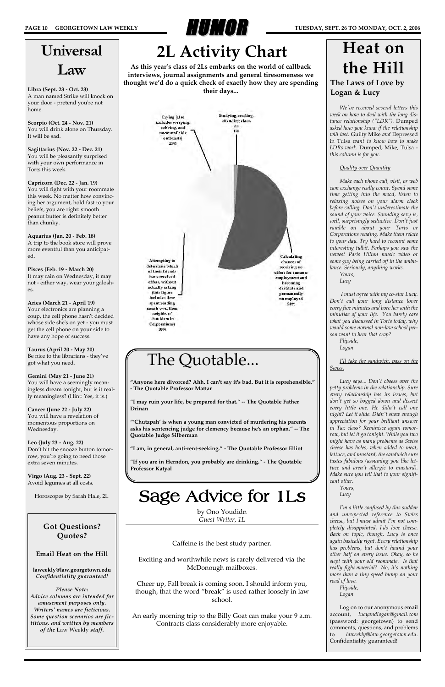

*We've received several letters this week on how to deal with the long distance relationship ("LDR").* Dumped *asked how you know if the relationship will last.* Guilty Mike *and* Depressed in Tulsa *want to know how to make LDRs work.* Dumped, Mike, Tulsa  *this column is for you.*

### *Quality over Quantity*

*Make each phone call, visit, or web cam exchange really count. Spend some time getting into the mood, listen to relaxing noises on your alarm clock before calling. Don't underestimate the sound of your voice. Sounding sexy is, well, surprisingly seductive. Don't just ramble on about your Torts or Corporations reading. Make them relate to your day. Try hard to recount some interesting tidbit. Perhaps you saw the newest Paris Hilton music video or some guy being carried off in the ambulance. Seriously, anything works.*

*Yours, Lucy*

*I must agree with my co-star Lucy. Don't call your long distance lover every five minutes and bore her with the minutiae of your life. You barely care what you discussed in Torts today, why would some normal non-law school person want to hear that crap?* 

*Flipside,*

*Logan*

*I'll take the sandwich, pass on the Swiss.*

*Lucy says... Don't obsess over the petty problems in the relationship. Sure every relationship has its issues, but don't get so bogged down and dissect every little one. He didn't call one night? Let it slide. Didn't show enough appreciation for your brilliant answer in Tax class? Reminisce again tomorrow, but let it go tonight. While you two might have as many problems as Swiss cheese has holes, when added to meat, lettuce, and mustard, the sandwich sure tastes fabulous (assuming you like lettuce and aren't allergic to mustard). Make sure you tell that to your significant other.*

*Yours, Lucy*

*I'm a little confused by this sudden and unexpected reference to Swiss cheese, but I must admit I'm not completely disappointed, I do love cheese. Back on topic, though, Lucy is once again basically right. Every relationship has problems, but don't hound your other half on every issue. Okay, so he slept with your old roommate. Is that really fight material? No, it's nothing more than a tiny speed bump on your road of love.*

*Flipside, Logan*

Log on to our anonymous email account, *lucyandlogan@gmail.com* (password: georgetown) to send comments, questions, and problems to *laweekly@law.georgetown.edu*. Confidentiality guaranteed!

### **The Laws of Love by Logan & Lucy**

# **Heat on the Hill**

The Quotable...

**"Anyone here divorced? Ahh. I can't say it's bad. But it is reprehensible."**

**- The Quotable Professor Mattar**

**"I may ruin your life, be prepared for that." -- The Quotable Father**

**Drinan**

Calculating chances of receiving no offers for summer employment and becoming destitute and permanently unemployed 54%

**"'Chutzpah' is when a young man convicted of murdering his parents asks his sentencing judge for clemency because he's an orphan." -- The**

**Quotable Judge Silberman**

**"I am, in general, anti-rent-seeking." - The Quotable Professor Elliot**

**"If you are in Herndon, you probably are drinking." - The Quotable**

Attempting to determine which of their friends have received offers, without actually asking (this figure includes time spent reading emails over their neighbors' shoulders in Corporations) 30%

**Professor Katyal**

# Universal Law

**Libra (Sept. 23 - Oct. 23)** A man named Strike will knock on your door - pretend you're not home.

**Scorpio (Oct. 24 - Nov. 21)** You will drink alone on Thursday. It will be sad.

**Sagittarius (Nov. 22 - Dec. 21)** You will be pleasantly surprised with your own performance in Torts this week.

**Capricorn (Dec. 22 - Jan. 19)** You will fight with your roommate this week. No matter how convincing her argument, hold fast to your beliefs, you are right: smooth peanut butter is definitely better than chunky.

**Aquarius (Jan. 20 - Feb. 18)** A trip to the book store will prove more eventful than you anticipated.

**Pisces (Feb. 19 - March 20)** It may rain on Wednesday, it may not - either way, wear your galoshes.

**Aries (March 21 - April 19)** Your electronics are planning a coup, the cell phone hasn't decided whose side she's on yet - you must get the cell phone on your side to have any hope of success.

**Taurus (April 20 - May 20)** Be nice to the librarians - they've got what you need.

**Gemini (May 21 - June 21)** You will have a seemingly meaningless dream tonight, but is it really meaningless? (Hint: Yes, it is.)

**Cancer (June 22 - July 22)** You will have a revelation of momentous proportions on Wednesday.

**Leo (July 23 - Aug. 22)** Don't hit the snooze button tomorrow, you're going to need those extra seven minutes.

**Virgo (Aug. 23 - Sept. 22)** Avoid legumes at all costs.

Horoscopes by Sarah Hale, 2L

| <b>Got Questions?</b><br><b>Ouotes?</b>                     |
|-------------------------------------------------------------|
| <b>Email Heat on the Hill</b>                               |
| laweekly@law.georgetown.edu                                 |
| Confidentiality guaranteed!                                 |
| Please Note:                                                |
| Advice columns are intended for<br>amusement purposes only. |
| Writers' names are ficticious.                              |
| Some question scenarios are fic-                            |
| titious, and written by members                             |
| of the Law Weekly staff.                                    |
|                                                             |

by Ono Youdidn *Guest Writer, 1L*

Caffeine is the best study partner.

Exciting and worthwhile news is rarely delivered via the McDonough mailboxes.

Cheer up, Fall break is coming soon. I should inform you, though, that the word "break" is used rather loosely in law school.

An early morning trip to the Billy Goat can make your 9 a.m. Contracts class considerably more enjoyable.

Sage Advice for 1Ls

# **2L Activity Chart**

**As this year's class of 2Ls embarks on the world of callback interviews, journal assignments and general tiresomeness we thought we'd do a quick check of exactly how they are spending their days...**

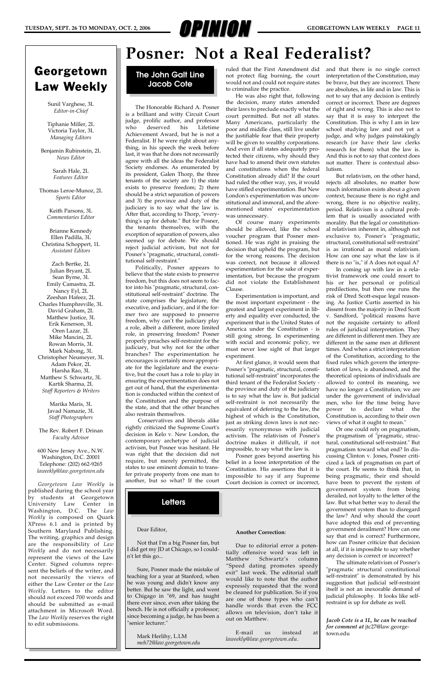### **Posner: Not a Real Federalist?**

### Georgetown Law Weekly

Sunil Varghese, 3L *Editor-in-Chief*

Tiphanie Miller, 2L Victoria Taylor, 3L *Managing Editors*

Benjamin Rubinstein, 2L *News Editor*

> Sarah Hale, 2L *Features Editor*

Thomas Leroe-Munoz, 2L *Sports Editor*

> Keith Parsons, 3L *Commentaries Editor*

#### Brianne Kennedy Ellen Padilla, 3L Christina Schoppert, 1L *Assistant Editors*

Zach Bertke, 2L Julian Bryant, 2L Sean Byrne, 3L Emily Camastra, 2L Nancy Eyl, 2L Zeeshan Hafeez, 2L Charles Humphreville, 3L David Graham, 2L Matthew Justice, 3L Erik Kenerson, 3L Oren Lazar, 2L Mike Mancini, 2L Rowan Morris, 3L Mark Nabong, 3L Christopher Neumeyer, 3L Adam Pekor, 2L Harsha Rao, 3L Matthew S. Schwartz, 3L Kartik Sharma, 2L *Staff Reporters & Writers*

> Marika Maris, 3L Javad Namazie, 3L *Staff Photographers*

The Rev. Robert F. Drinan *Faculty Advisor*

600 New Jersey Ave., N.W. Washington, D.C. 20001 Telephone: (202) 662-9265 *laweekly@law.georgetown.edu*

*Georgetown Law Weekly* is published during the school year by students at Georgetown University Law Center in

Washington, D.C. The *Law Weekly* is composed on Quark XPress 6.1 and is printed by Southern Maryland Publishing. The writing, graphics and design are the responsibility of *Law Weekly* and do not necessarily represent the views of the Law Center. Signed columns represent the beliefs of the writer, and not necessarily the views of either the Law Center or the *Law Weekly*. Letters to the editor should not exceed 700 words and should be submitted as e-mail attachment in Microsoft Word. The *Law Weekly* reserves the right to edit submissions.





The Honorable Richard A. Posner is a brilliant and witty Circuit Court judge, prolific author, and professor who deserved his Lifetime Achievement Award, but he is not a Federalist. If he were right about anything, in his speech the week before last, it was that he does not necessarily agree with all the ideas the Federalist Society endorses. As enumerated by its president, Galen Thorp, the three tenants of the society are 1) the state exists to preserve freedom; 2) there should be a strict separation of powers and 3) the province and duty of the judiciary is to say what the law is. After that, according to Thorp, "everything's up for debate." But for Posner, the tenants themselves, with the exception of separation of powers, also seemed up for debate. We should reject judicial activism, but not for Posner's "pragmatic, structural, constitutional self-restraint."

Politically, Posner appears to believe that the state exists to preserve freedom, but this does not seem to factor into his "pragmatic, structural, constitutional self-restraint" doctrine. The state comprises the legislature, the executive, and judiciary, and if the former two are supposed to preserve freedom, why can't the judiciary play a role, albeit a different, more limited role, in preserving freedom? Posner properly preaches self-restraint for the judiciary, but why not for the other branches? The experimentation he encourages is certainly more appropriate for the legislature and the executive, but the court has a role to play in ensuring the experimentation does not get out of hand, that the experimentation is conducted within the context of the Constitution and the purpose of the state, and that the other branches also restrain themselves.

Conservatives and liberals alike rightly criticized the Supreme Court's decision in Kelo v. New London, the contemporary archetype of judicial activism, but Posner was hesitant. He was right that the decision did not require, but merely permitted, the states to use eminent domain to transfer private property from one man to another, but so what? If the court

ruled that the First Amendment did not protect flag burning, the court would not and could not require states to criminalize the practice.

He was also right that, following the decision, many states amended their laws to preclude exactly what the court permitted. But not all states. Many Americans, particularly the poor and middle class, still live under the justifiable fear that their property will be given to wealthy corporations. And even if all states adequately protected their citizens, why should they have had to amend their own statutes and constitutions when the federal Constitution already did? If the court had ruled the other way, yes, it would have stifled experimentation. But New London's experimentation was unconstitutional and immoral, and the aforementioned states' experimentation was unnecessary.

Of course many experiments should be allowed, like the school voucher program that Posner mentioned. He was right in praising the decision that upheld the program, but for the wrong reasons. The decision was correct, not because it allowed experimentation for the sake of experimentation, but because the program did not violate the Establishment Clause.

Experimentation is important, and the most important experiment - the greatest and largest experiment in liberty and equality ever conducted, the experiment that is the United States of America under the Constitution - is still going strong. In experimenting with social and economic policy, we must never lose sight of that larger experiment.

At first glance, it would seem that Posner's "pragmatic, structural, constitutional self-restraint" incorporates the third tenant of the Federalist Society the province and duty of the judiciary is to say what the law is. But judicial self-restraint is not necessarily the equivalent of deferring to the law, the highest of which is the Constitution, just as striking down laws is not necessarily synonymous with judicial activism. The relativism of Posner's doctrine makes it difficult, if not impossible, to say what the law is.

Posner goes beyond asserting his belief in a loose interpretation of the Constitution. His assertions that it is impossible to say if any Supreme Court decision is correct or incorrect, and that there is no single correct interpretation of the Constitution, may be brave, but they are incorrect. There are absolutes, in life and in law. This is not to say that any decision is entirely correct or incorrect. There are degrees of right and wrong. This is also not to say that it is easy to interpret the Constitution. This is why I am in law school studying law and not yet a judge, and why judges painstakingly research (or have their law clerks research for them) what the law is. And this is not to say that context does not matter. There is contextual absolutism.

But relativism, on the other hand, rejects all absolutes, no matter how much information exists about a given context, because there is no right and wrong, there is no objective reality, period. Relativism is a cultural problem that is usually associated with morality. But the legal or constitutional relativism inherent in, although not exclusive to, Posner's "pragmatic, structural, constitutional self-restraint" is as irrational as moral relativism. How can one say what the law is if there is no "is," if A does not equal A?

In coming up with law in a relativist framework one could resort to his or her personal or political predilections, but then one runs the risk of Dred Scott-esque legal reasoning. As Justice Curtis asserted in his dissent from the majority in Dred Scott v. Sandford, "political reasons have not the requisite certainty to afford rules of juridical interpretation. They are different in different men. They are different in the same men at different times. And when a strict interpretation of the Constitution, according to the fixed rules which govern the interpretation of laws, is abandoned, and the theoretical opinions of individuals are allowed to control its meaning, we have no longer a Constitution; we are under the government of individual men, who for the time being have power to declare what the Constitution is, according to their own views of what it ought to mean."

Or one could rely on pragmatism, the pragmatism of "pragmatic, structural, constitutional self-restraint." But pragmatism toward what end? In discussing Clinton v. Jones, Posner criticized a lack of pragmatism on part of the court. He seems to think that, in being pragmatic, their end should have been to prevent the system of government system from being derailed, not loyalty to the letter of the law. But what better way to derail the government system than to disregard the law? And why should the court have adopted this end of preventing government derailment? How can one say that end is correct? Furthermore, how can Posner criticize that decision at all, if it is impossible to say whether any decision is correct or incorrect? The ultimate relativism of Posner's "pragmatic structural constitutional self-restraint" is demonstrated by his suggestion that judicial self-restraint itself is not an inexorable demand of judicial philosophy. It looks like selfrestraint is up for debate as well.

### Dear Editor,

Not that I'm a big Posner fan, but I did get my JD at Chicago, so I couldn't let this go...

Sure, Posner made the mistake of teaching for a year at Stanford, when he was young and didn't know any better. But he saw the light, and went to Chigago in "69, and has taught there ever since, even after taking the bench. He is not officially a professor; since becoming a judge, he has been a "senior lecturer."

Mark Herlihy, L.LM *meh72@law.georgetown.edu*

### **Another Correction**:

Due to editorial error a potentially offensive word was left in Matthew Schwartz's column "Speed dating promotes speedy exit" last week. The editorial staff would like to note that the author expressly requested that the word be cleaned for publication. So if you are one of those types who can't handle words that even the FCC allows on television, don't take it out on Matthew.

E-mail us instead at *laweekly@law.georgetown.edu*.

*Jacob Cote is a 1L, he can be reached for comment at* jtc27@law.georgetown.edu

### **Letters**

### **The John Galt Line Jacob Cote**